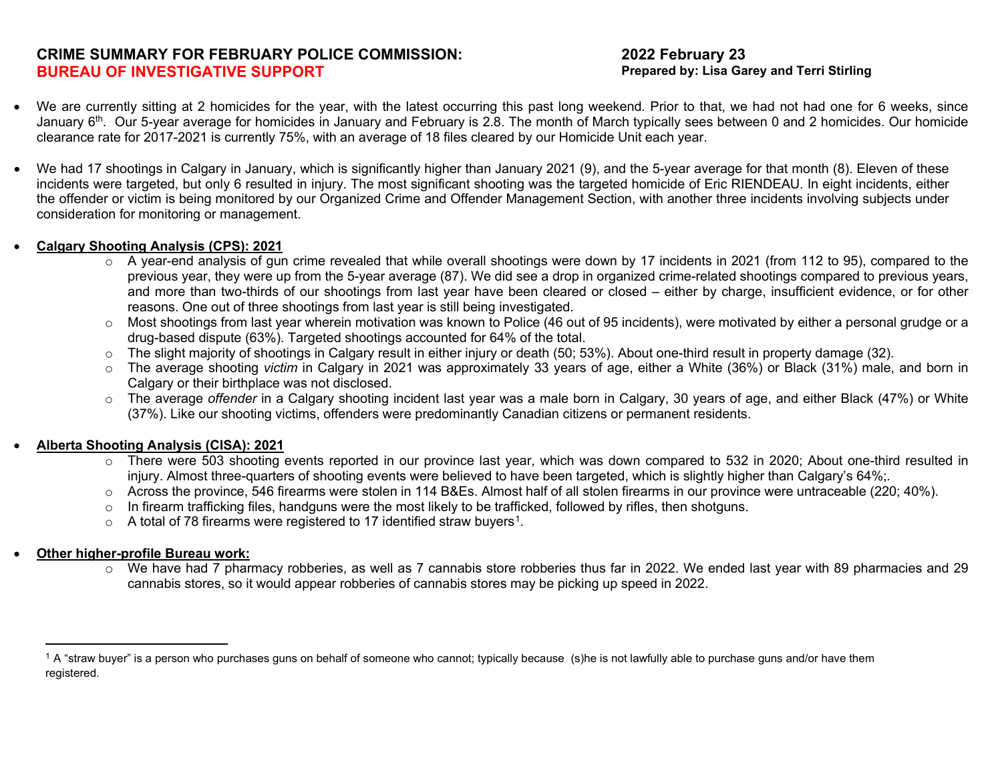# **CRIME SUMMARY FOR FEBRUARY POLICE COMMISSION: BUREAU OF INVESTIGATIVE SUPPORT**

### <span id="page-0-0"></span>**2022 February 23 Prepared by: Lisa Garey and Terri Stirling**

- We are currently sitting at 2 homicides for the year, with the latest occurring this past long weekend. Prior to that, we had not had one for 6 weeks, since January 6<sup>th</sup>. Our 5-year average for homicides in January and February is 2.8. The month of March typically sees between 0 and 2 homicides. Our homicide clearance rate for 2017-2021 is currently 75%, with an average of 18 files cleared by our Homicide Unit each year.
- We had 17 shootings in Calgary in January, which is significantly higher than January 2021 (9), and the 5-year average for that month (8). Eleven of these incidents were targeted, but only 6 resulted in injury. The most significant shooting was the targeted homicide of Eric RIENDEAU. In eight incidents, either the offender or victim is being monitored by our Organized Crime and Offender Management Section, with another three incidents involving subjects under consideration for monitoring or management.

### • **Calgary Shooting Analysis (CPS): 2021**

- $\circ$  A year-end analysis of gun crime revealed that while overall shootings were down by 17 incidents in 2021 (from 112 to 95), compared to the previous year, they were up from the 5-year average (87). We did see a drop in organized crime-related shootings compared to previous years, and more than two-thirds of our shootings from last year have been cleared or closed – either by charge, insufficient evidence, or for other reasons. One out of three shootings from last year is still being investigated.
- o Most shootings from last year wherein motivation was known to Police (46 out of 95 incidents), were motivated by either a personal grudge or a drug-based dispute (63%). Targeted shootings accounted for 64% of the total.
- $\circ$  The slight majority of shootings in Calgary result in either injury or death (50; 53%). About one-third result in property damage (32).
- o The average shooting *victim* in Calgary in 2021 was approximately 33 years of age, either a White (36%) or Black (31%) male, and born in Calgary or their birthplace was not disclosed.
- o The average *offender* in a Calgary shooting incident last year was a male born in Calgary, 30 years of age, and either Black (47%) or White (37%). Like our shooting victims, offenders were predominantly Canadian citizens or permanent residents.

## • **Alberta Shooting Analysis (CISA): 2021**

- o There were 503 shooting events reported in our province last year, which was down compared to 532 in 2020; About one-third resulted in injury. Almost three-quarters of shooting events were believed to have been targeted, which is slightly higher than Calgary's 64%;.
- $\circ$  Across the province, 546 firearms were stolen in 114 B&Es. Almost half of all stolen firearms in our province were untraceable (220; 40%).
- $\circ$  In firearm trafficking files, handguns were the most likely to be trafficked, followed by rifles, then shotguns.
- $\circ$  A total of 78 firearms were registered to [1](#page-0-0)7 identified straw buyers<sup>1</sup>.

## • **Other higher-profile Bureau work:**

o We have had 7 pharmacy robberies, as well as 7 cannabis store robberies thus far in 2022. We ended last year with 89 pharmacies and 29 cannabis stores, so it would appear robberies of cannabis stores may be picking up speed in 2022.

 $1$  A "straw buyer" is a person who purchases guns on behalf of someone who cannot; typically because (s)he is not lawfully able to purchase guns and/or have them registered.